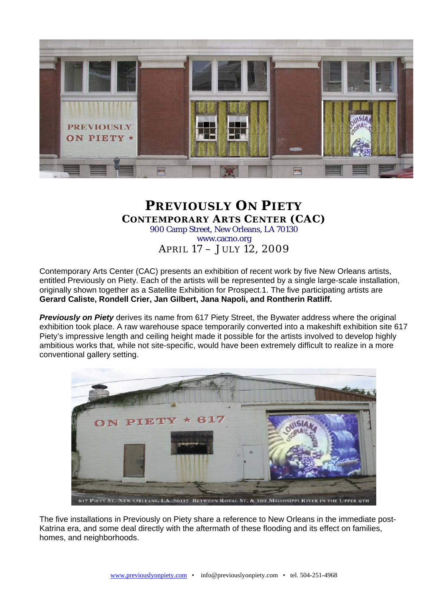

## **PREVIOUSLY ON PIETY CONTEMPORARY ARTS CENTER (CAC)**  900 Camp Street, New Orleans, LA 70130 www.cacno.org APRIL 17 – JULY 12, 2009

Contemporary Arts Center (CAC) presents an exhibition of recent work by five New Orleans artists,

entitled Previously on Piety. Each of the artists will be represented by a single large-scale installation, originally shown together as a Satellite Exhibition for Prospect.1. The five participating artists are **Gerard Caliste, Rondell Crier, Jan Gilbert, Jana Napoli, and Rontherin Ratliff.** 

*Previously on Piety* derives its name from 617 Piety Street, the Bywater address where the original exhibition took place. A raw warehouse space temporarily converted into a makeshift exhibition site 617 Piety's impressive length and ceiling height made it possible for the artists involved to develop highly ambitious works that, while not site-specific, would have been extremely difficult to realize in a more conventional gallery setting.



The five installations in Previously on Piety share a reference to New Orleans in the immediate post-Katrina era, and some deal directly with the aftermath of these flooding and its effect on families, homes, and neighborhoods.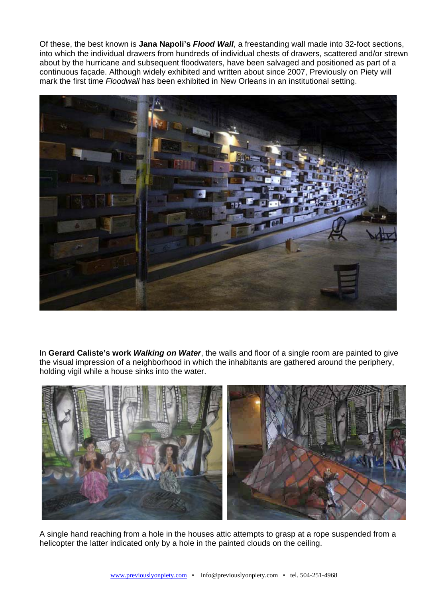Of these, the best known is **Jana Napoli's** *Flood Wall*, a freestanding wall made into 32-foot sections, into which the individual drawers from hundreds of individual chests of drawers, scattered and/or strewn about by the hurricane and subsequent floodwaters, have been salvaged and positioned as part of a continuous façade. Although widely exhibited and written about since 2007, Previously on Piety will mark the first time *Floodwall* has been exhibited in New Orleans in an institutional setting.



In **Gerard Caliste's work** *Walking on Water*, the walls and floor of a single room are painted to give the visual impression of a neighborhood in which the inhabitants are gathered around the periphery, holding vigil while a house sinks into the water.



A single hand reaching from a hole in the houses attic attempts to grasp at a rope suspended from a helicopter the latter indicated only by a hole in the painted clouds on the ceiling.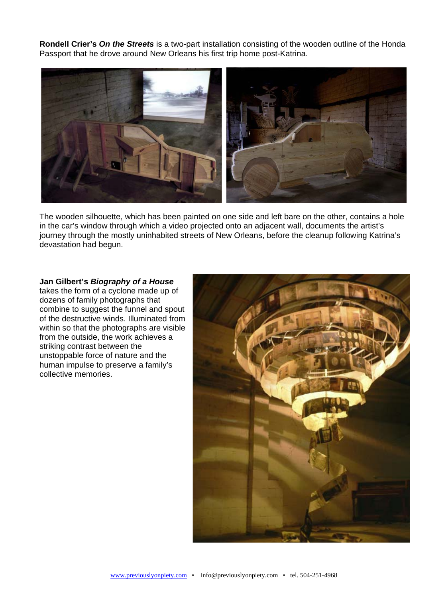**Rondell Crier's** *On the Streets* is a two-part installation consisting of the wooden outline of the Honda Passport that he drove around New Orleans his first trip home post-Katrina.



The wooden silhouette, which has been painted on one side and left bare on the other, contains a hole in the car's window through which a video projected onto an adjacent wall, documents the artist's journey through the mostly uninhabited streets of New Orleans, before the cleanup following Katrina's devastation had begun.

## **Jan Gilbert's** *Biography of a House*

takes the form of a cyclone made up of dozens of family photographs that combine to suggest the funnel and spout of the destructive winds. Illuminated from within so that the photographs are visible from the outside, the work achieves a striking contrast between the unstoppable force of nature and the human impulse to preserve a family's collective memories.

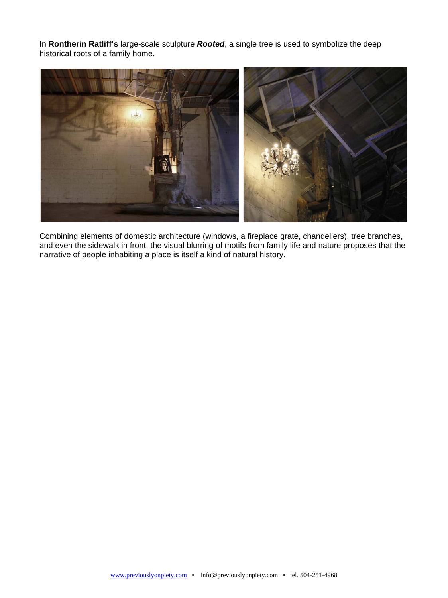In **Rontherin Ratliff's** large-scale sculpture *Rooted*, a single tree is used to symbolize the deep historical roots of a family home.



Combining elements of domestic architecture (windows, a fireplace grate, chandeliers), tree branches, and even the sidewalk in front, the visual blurring of motifs from family life and nature proposes that the narrative of people inhabiting a place is itself a kind of natural history.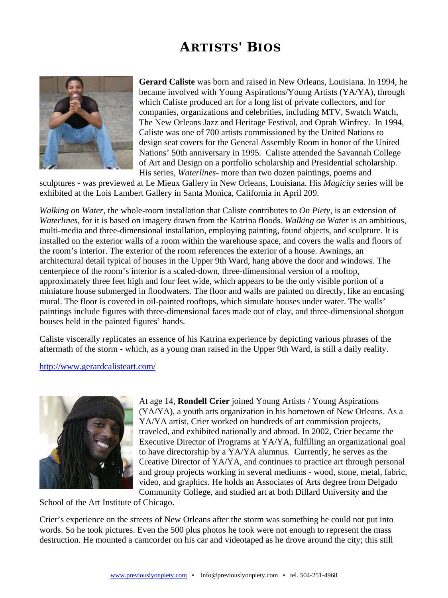## **ARTISTS' BIOS**



**Gerard Caliste** was born and raised in New Orleans, Louisiana. In 1994, he became involved with Young Aspirations/Young Artists (YA/YA), through which Caliste produced art for a long list of private collectors, and for companies, organizations and celebrities, including MTV, Swatch Watch, The New Orleans Jazz and Heritage Festival, and Oprah Winfrey. In 1994, Caliste was one of 700 artists commissioned by the United Nations to design seat covers for the General Assembly Room in honor of the United Nations' 50th anniversary in 1995. Caliste attended the Savannah College of Art and Design on a portfolio scholarship and Presidential scholarship. His series, *Waterlines-* more than two dozen paintings, poems and

sculptures - was previewed at Le Mieux Gallery in New Orleans, Louisiana. His *Magicity* series will be exhibited at the Lois Lambert Gallery in Santa Monica, California in April 209.

*Walking on Water*, the whole-room installation that Caliste contributes to *On Piety*, is an extension of *Waterlines*, for it is based on imagery drawn from the Katrina floods. *Walking on Water* is an ambitious, multi-media and three-dimensional installation, employing painting, found objects, and sculpture. It is installed on the exterior walls of a room within the warehouse space, and covers the walls and floors of the room's interior. The exterior of the room references the exterior of a house. Awnings, an architectural detail typical of houses in the Upper 9th Ward, hang above the door and windows. The centerpiece of the room's interior is a scaled-down, three-dimensional version of a rooftop, approximately three feet high and four feet wide, which appears to be the only visible portion of a miniature house submerged in floodwaters. The floor and walls are painted on directly, like an encasing mural. The floor is covered in oil-painted rooftops, which simulate houses under water. The walls' paintings include figures with three-dimensional faces made out of clay, and three-dimensional shotgun houses held in the painted figures' hands.

Caliste viscerally replicates an essence of his Katrina experience by depicting various phrases of the aftermath of the storm - which, as a young man raised in the Upper 9th Ward, is still a daily reality.

## <http://www.gerardcalisteart.com/>



At age 14, **Rondell Crier** joined Young Artists / Young Aspirations (YA/YA), a youth arts organization in his hometown of New Orleans. As a YA/YA artist, Crier worked on hundreds of art commission projects, traveled, and exhibited nationally and abroad. In 2002, Crier became the Executive Director of Programs at YA/YA, fulfilling an organizational goal to have directorship by a YA/YA alumnus. Currently, he serves as the Creative Director of YA/YA, and continues to practice art through personal and group projects working in several mediums - wood, stone, metal, fabric, video, and graphics. He holds an Associates of Arts degree from Delgado Community College, and studied art at both Dillard University and the

School of the Art Institute of Chicago.

Crier's experience on the streets of New Orleans after the storm was something he could not put into words. So he took pictures. Even the 500 plus photos he took were not enough to represent the mass destruction. He mounted a camcorder on his car and videotaped as he drove around the city; this still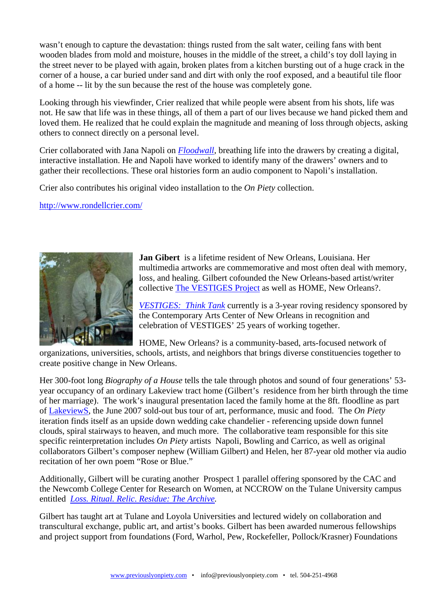wasn't enough to capture the devastation: things rusted from the salt water, ceiling fans with bent wooden blades from mold and moisture, houses in the middle of the street, a child's toy doll laying in the street never to be played with again, broken plates from a kitchen bursting out of a huge crack in the corner of a house, a car buried under sand and dirt with only the roof exposed, and a beautiful tile floor of a home -- lit by the sun because the rest of the house was completely gone.

Looking through his viewfinder, Crier realized that while people were absent from his shots, life was not. He saw that life was in these things, all of them a part of our lives because we hand picked them and loved them. He realized that he could explain the magnitude and meaning of loss through objects, asking others to connect directly on a personal level.

Crier collaborated with Jana Napoli on *[Floodwall,](http://www.floodwall.org/)* breathing life into the drawers by creating a digital, interactive installation. He and Napoli have worked to identify many of the drawers' owners and to gather their recollections. These oral histories form an audio component to Napoli's installation.

Crier also contributes his original video installation to the *On Piety* collection.

<http://www.rondellcrier.com/>



**Jan Gibert** is a lifetime resident of New Orleans, Louisiana. Her multimedia artworks are commemorative and most often deal with memory, loss, and healing. Gilbert cofounded the New Orleans-based artist/writer collective [The VESTIGES Project](http://www.thevestigesproject.org/) as well as HOME, New Orleans?.

*[VESTIGES: Think Tank](http://www.vestigesthinktank.org/)* currently is a 3-year roving residency sponsored by the Contemporary Arts Center of New Orleans in recognition and celebration of VESTIGES' 25 years of working together.

HOME, New Orleans? is a community-based, arts-focused network of

organizations, universities, schools, artists, and neighbors that brings diverse constituencies together to create positive change in New Orleans.

Her 300-foot long *Biography of a House* tells the tale through photos and sound of four generations' 53 year occupancy of an ordinary Lakeview tract home (Gilbert's residence from her birth through the time of her marriage). The work's inaugural presentation laced the family home at the 8ft. floodline as part of [LakeviewS,](http://www.ny2no.net/lakeview/about/) the June 2007 sold-out bus tour of art, performance, music and food. The *On Piety* iteration finds itself as an upside down wedding cake chandelier - referencing upside down funnel clouds, spiral stairways to heaven, and much more. The collaborative team responsible for this site specific reinterpretation includes *On Piety* artists Napoli, Bowling and Carrico, as well as original collaborators Gilbert's composer nephew (William Gilbert) and Helen, her 87-year old mother via audio recitation of her own poem "Rose or Blue."

Additionally, Gilbert will be curating another Prospect 1 parallel offering sponsored by the CAC and the Newcomb College Center for Research on Women, at NCCROW on the Tulane University campus entitled *[Loss. Ritual. Relic](http://newcomb.tulane.edu/library-archives-archives)*. *[Residue: The Archive](http://newcomb.tulane.edu/library-archives-archives).*

Gilbert has taught art at Tulane and Loyola Universities and lectured widely on collaboration and transcultural exchange, public art, and artist's books. Gilbert has been awarded numerous fellowships and project support from foundations (Ford, Warhol, Pew, Rockefeller, Pollock/Krasner) Foundations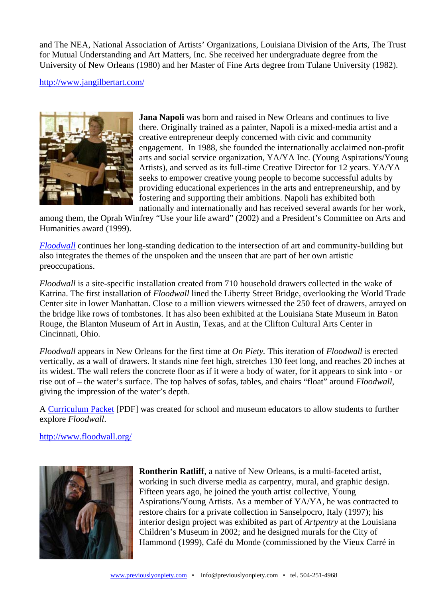and The NEA, National Association of Artists' Organizations, Louisiana Division of the Arts, The Trust for Mutual Understanding and Art Matters, Inc. She received her undergraduate degree from the University of New Orleans (1980) and her Master of Fine Arts degree from Tulane University (1982).

<http://www.jangilbertart.com/>



**Jana Napoli** was born and raised in New Orleans and continues to live there. Originally trained as a painter, Napoli is a mixed-media artist and a creative entrepreneur deeply concerned with civic and community engagement. In 1988, she founded the internationally acclaimed non-profit arts and social service organization, YA/YA Inc. (Young Aspirations/Young Artists), and served as its full-time Creative Director for 12 years. YA/YA seeks to empower creative young people to become successful adults by providing educational experiences in the arts and entrepreneurship, and by fostering and supporting their ambitions. Napoli has exhibited both nationally and internationally and has received several awards for her work,

among them, the Oprah Winfrey "Use your life award" (2002) and a President's Committee on Arts and Humanities award (1999).

*[Floodwall](http://www.floodwall.org/)* continues her long-standing dedication to the intersection of art and community-building but also integrates the themes of the unspoken and the unseen that are part of her own artistic preoccupations.

*Floodwall* is a site-specific installation created from 710 household drawers collected in the wake of Katrina. The first installation of *Floodwall* lined the Liberty Street Bridge, overlooking the World Trade Center site in lower Manhattan. Close to a million viewers witnessed the 250 feet of drawers, arrayed on the bridge like rows of tombstones. It has also been exhibited at the Louisiana State Museum in Baton Rouge, the Blanton Museum of Art in Austin, Texas, and at the Clifton Cultural Arts Center in Cincinnati, Ohio.

*Floodwall* appears in New Orleans for the first time at *On Piety.* This iteration of *Floodwall* is erected vertically, as a wall of drawers. It stands nine feet high, stretches 130 feet long, and reaches 20 inches at its widest. The wall refers the concrete floor as if it were a body of water, for it appears to sink into - or rise out of – the water's surface. The top halves of sofas, tables, and chairs "float" around *Floodwall*, giving the impression of the water's depth.

A [Curriculum Packet](http://www.onpiety.com/pdf/Floodwall_Curriculum_Packet.pdf) [PDF] was created for school and museum educators to allow students to further explore *Floodwall*.

<http://www.floodwall.org/>



**Rontherin Ratliff**, a native of New Orleans, is a multi-faceted artist, working in such diverse media as carpentry, mural, and graphic design. Fifteen years ago, he joined the youth artist collective, Young Aspirations/Young Artists. As a member of YA/YA, he was contracted to restore chairs for a private collection in Sanselpocro, Italy (1997); his interior design project was exhibited as part of *Artpentry* at the Louisiana Children's Museum in 2002; and he designed murals for the City of Hammond (1999), Café du Monde (commissioned by the Vieux Carré in